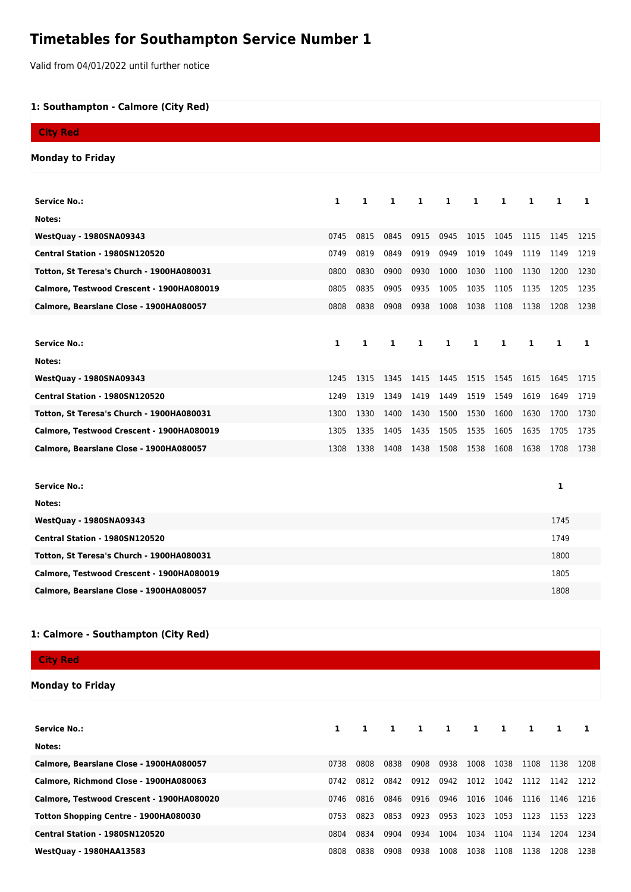## **Timetables for Southampton Service Number 1**

Valid from 04/01/2022 until further notice

## **1: Southampton - Calmore (City Red)**

| <b>City Red</b>                           |              |      |      |              |      |      |      |      |      |      |
|-------------------------------------------|--------------|------|------|--------------|------|------|------|------|------|------|
| <b>Monday to Friday</b>                   |              |      |      |              |      |      |      |      |      |      |
|                                           |              |      |      |              |      |      |      |      |      |      |
| <b>Service No.:</b>                       | $\mathbf{1}$ | 1    | 1    | $\mathbf{1}$ | 1    | 1    | 1    | 1    | 1    | 1    |
| Notes:                                    |              |      |      |              |      |      |      |      |      |      |
| <b>WestQuay - 1980SNA09343</b>            | 0745         | 0815 | 0845 | 0915         | 0945 | 1015 | 1045 | 1115 | 1145 | 1215 |
| Central Station - 1980SN120520            | 0749         | 0819 | 0849 | 0919         | 0949 | 1019 | 1049 | 1119 | 1149 | 1219 |
| Totton, St Teresa's Church - 1900HA080031 | 0800         | 0830 | 0900 | 0930         | 1000 | 1030 | 1100 | 1130 | 1200 | 1230 |
| Calmore, Testwood Crescent - 1900HA080019 | 0805         | 0835 | 0905 | 0935         | 1005 | 1035 | 1105 | 1135 | 1205 | 1235 |
| Calmore, Bearslane Close - 1900HA080057   | 0808         | 0838 | 0908 | 0938         | 1008 | 1038 | 1108 | 1138 | 1208 | 1238 |
|                                           |              |      |      |              |      |      |      |      |      |      |
| <b>Service No.:</b>                       | 1            | 1    | 1    | 1            | 1    | 1    | 1    | 1    | 1    | 1    |
| Notes:                                    |              |      |      |              |      |      |      |      |      |      |
| <b>WestQuay - 1980SNA09343</b>            | 1245         | 1315 | 1345 | 1415         | 1445 | 1515 | 1545 | 1615 | 1645 | 1715 |
| Central Station - 1980SN120520            | 1249         | 1319 | 1349 | 1419         | 1449 | 1519 | 1549 | 1619 | 1649 | 1719 |
| Totton, St Teresa's Church - 1900HA080031 | 1300         | 1330 | 1400 | 1430         | 1500 | 1530 | 1600 | 1630 | 1700 | 1730 |
| Calmore, Testwood Crescent - 1900HA080019 | 1305         | 1335 | 1405 | 1435         | 1505 | 1535 | 1605 | 1635 | 1705 | 1735 |
| Calmore, Bearslane Close - 1900HA080057   | 1308         | 1338 | 1408 | 1438         | 1508 | 1538 | 1608 | 1638 | 1708 | 1738 |
|                                           |              |      |      |              |      |      |      |      |      |      |
| <b>Service No.:</b>                       |              |      |      |              |      |      |      |      | 1    |      |
| Notes:                                    |              |      |      |              |      |      |      |      |      |      |
| <b>WestQuay - 1980SNA09343</b>            |              |      |      |              |      |      |      |      | 1745 |      |
| Central Station - 1980SN120520            |              |      |      |              |      |      |      |      | 1749 |      |
| Totton, St Teresa's Church - 1900HA080031 |              |      |      |              |      |      |      |      | 1800 |      |
| Calmore, Testwood Crescent - 1900HA080019 |              |      |      |              |      |      |      |      | 1805 |      |
| Calmore, Bearslane Close - 1900HA080057   |              |      |      |              |      |      |      |      | 1808 |      |
|                                           |              |      |      |              |      |      |      |      |      |      |

## **1: Calmore - Southampton (City Red)**

**City Red**

## **Monday to Friday**

| <b>Service No.:</b>                       |      | $\mathbf{1}$ | 1    | 1    | $\mathbf{1}$ | -1   | 1    | -1   |      |      |
|-------------------------------------------|------|--------------|------|------|--------------|------|------|------|------|------|
| Notes:                                    |      |              |      |      |              |      |      |      |      |      |
| Calmore, Bearslane Close - 1900HA080057   | 0738 | 0808         | 0838 | 0908 | 0938         | 1008 | 1038 | 1108 | 1138 | 1208 |
| Calmore, Richmond Close - 1900HA080063    | 0742 | 0812         | 0842 | 0912 | 0942         | 1012 | 1042 | 1112 | 1142 | 1212 |
| Calmore, Testwood Crescent - 1900HA080020 | 0746 | 0816         | 0846 | 0916 | 0946         | 1016 | 1046 | 1116 | 1146 | 1216 |
| Totton Shopping Centre - 1900HA080030     | 0753 | 0823         | 0853 | 0923 | 0953         | 1023 | 1053 | 1123 | 1153 | 1223 |
| Central Station - 1980SN120520            | 0804 | 0834         | 0904 | 0934 | 1004         | 1034 | 1104 | 1134 | 1204 | 1234 |
| <b>WestQuay - 1980HAA13583</b>            | 0808 | 0838         | 0908 | 0938 | 1008         | 1038 | 1108 | 1138 | 1208 | 1238 |